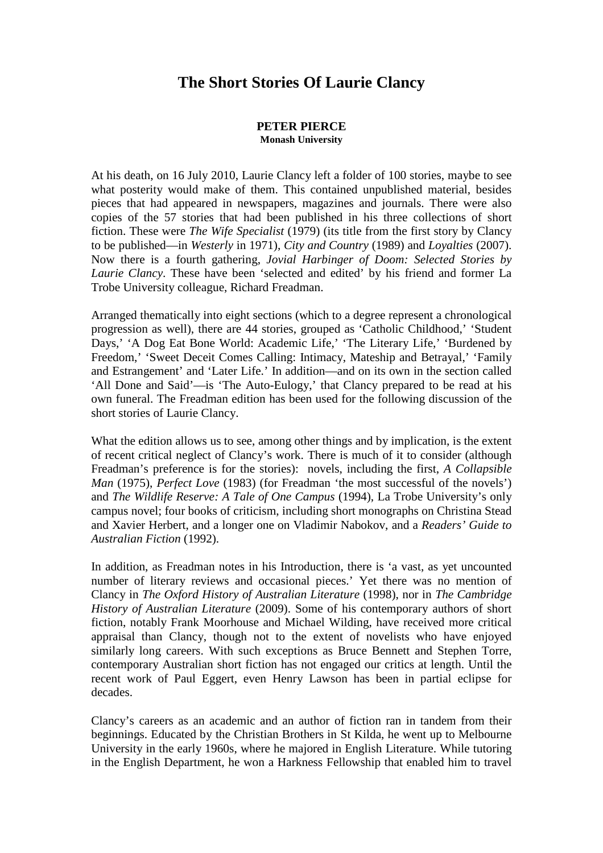## **The Short Stories Of Laurie Clancy**

## **PETER PIERCE Monash University**

At his death, on 16 July 2010, Laurie Clancy left a folder of 100 stories, maybe to see what posterity would make of them. This contained unpublished material, besides pieces that had appeared in newspapers, magazines and journals. There were also copies of the 57 stories that had been published in his three collections of short fiction. These were *The Wife Specialist* (1979) (its title from the first story by Clancy to be published—in *Westerly* in 1971), *City and Country* (1989) and *Loyalties* (2007). Now there is a fourth gathering, *Jovial Harbinger of Doom: Selected Stories by Laurie Clancy*. These have been 'selected and edited' by his friend and former La Trobe University colleague, Richard Freadman.

Arranged thematically into eight sections (which to a degree represent a chronological progression as well), there are 44 stories, grouped as 'Catholic Childhood,' 'Student Days,' 'A Dog Eat Bone World: Academic Life,' 'The Literary Life,' 'Burdened by Freedom,' 'Sweet Deceit Comes Calling: Intimacy, Mateship and Betrayal,' 'Family and Estrangement' and 'Later Life.' In addition—and on its own in the section called 'All Done and Said'—is 'The Auto-Eulogy,' that Clancy prepared to be read at his own funeral. The Freadman edition has been used for the following discussion of the short stories of Laurie Clancy.

What the edition allows us to see, among other things and by implication, is the extent of recent critical neglect of Clancy's work. There is much of it to consider (although Freadman's preference is for the stories): novels, including the first, *A Collapsible Man* (1975), *Perfect Love* (1983) (for Freadman 'the most successful of the novels') and *The Wildlife Reserve: A Tale of One Campus* (1994), La Trobe University's only campus novel; four books of criticism, including short monographs on Christina Stead and Xavier Herbert, and a longer one on Vladimir Nabokov, and a *Readers' Guide to Australian Fiction* (1992).

In addition, as Freadman notes in his Introduction, there is 'a vast, as yet uncounted number of literary reviews and occasional pieces.' Yet there was no mention of Clancy in *The Oxford History of Australian Literature* (1998), nor in *The Cambridge History of Australian Literature* (2009). Some of his contemporary authors of short fiction, notably Frank Moorhouse and Michael Wilding, have received more critical appraisal than Clancy, though not to the extent of novelists who have enjoyed similarly long careers. With such exceptions as Bruce Bennett and Stephen Torre, contemporary Australian short fiction has not engaged our critics at length. Until the recent work of Paul Eggert, even Henry Lawson has been in partial eclipse for decades.

Clancy's careers as an academic and an author of fiction ran in tandem from their beginnings. Educated by the Christian Brothers in St Kilda, he went up to Melbourne University in the early 1960s, where he majored in English Literature. While tutoring in the English Department, he won a Harkness Fellowship that enabled him to travel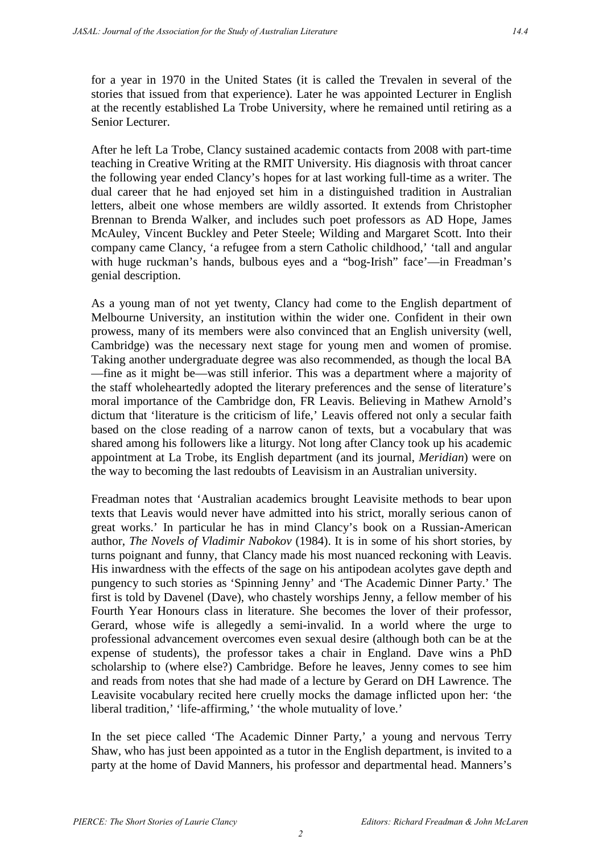for a year in 1970 in the United States (it is called the Trevalen in several of the stories that issued from that experience). Later he was appointed Lecturer in English at the recently established La Trobe University, where he remained until retiring as a Senior Lecturer.

After he left La Trobe, Clancy sustained academic contacts from 2008 with part-time teaching in Creative Writing at the RMIT University. His diagnosis with throat cancer the following year ended Clancy's hopes for at last working full-time as a writer. The dual career that he had enjoyed set him in a distinguished tradition in Australian letters, albeit one whose members are wildly assorted. It extends from Christopher Brennan to Brenda Walker, and includes such poet professors as AD Hope, James McAuley, Vincent Buckley and Peter Steele; Wilding and Margaret Scott. Into their company came Clancy, 'a refugee from a stern Catholic childhood,' 'tall and angular with huge ruckman's hands, bulbous eyes and a "bog-Irish" face'—in Freadman's genial description.

As a young man of not yet twenty, Clancy had come to the English department of Melbourne University, an institution within the wider one. Confident in their own prowess, many of its members were also convinced that an English university (well, Cambridge) was the necessary next stage for young men and women of promise. Taking another undergraduate degree was also recommended, as though the local BA —fine as it might be—was still inferior. This was a department where a majority of the staff wholeheartedly adopted the literary preferences and the sense of literature's moral importance of the Cambridge don, FR Leavis. Believing in Mathew Arnold's dictum that 'literature is the criticism of life,' Leavis offered not only a secular faith based on the close reading of a narrow canon of texts, but a vocabulary that was shared among his followers like a liturgy. Not long after Clancy took up his academic appointment at La Trobe, its English department (and its journal, *Meridian*) were on the way to becoming the last redoubts of Leavisism in an Australian university.

Freadman notes that 'Australian academics brought Leavisite methods to bear upon texts that Leavis would never have admitted into his strict, morally serious canon of great works.' In particular he has in mind Clancy's book on a Russian-American author, *The Novels of Vladimir Nabokov* (1984). It is in some of his short stories, by turns poignant and funny, that Clancy made his most nuanced reckoning with Leavis. His inwardness with the effects of the sage on his antipodean acolytes gave depth and pungency to such stories as 'Spinning Jenny' and 'The Academic Dinner Party.' The first is told by Davenel (Dave), who chastely worships Jenny, a fellow member of his Fourth Year Honours class in literature. She becomes the lover of their professor, Gerard, whose wife is allegedly a semi-invalid. In a world where the urge to professional advancement overcomes even sexual desire (although both can be at the expense of students), the professor takes a chair in England. Dave wins a PhD scholarship to (where else?) Cambridge. Before he leaves, Jenny comes to see him and reads from notes that she had made of a lecture by Gerard on DH Lawrence. The Leavisite vocabulary recited here cruelly mocks the damage inflicted upon her: 'the liberal tradition,' 'life-affirming,' 'the whole mutuality of love.'

In the set piece called 'The Academic Dinner Party,' a young and nervous Terry Shaw, who has just been appointed as a tutor in the English department, is invited to a party at the home of David Manners, his professor and departmental head. Manners's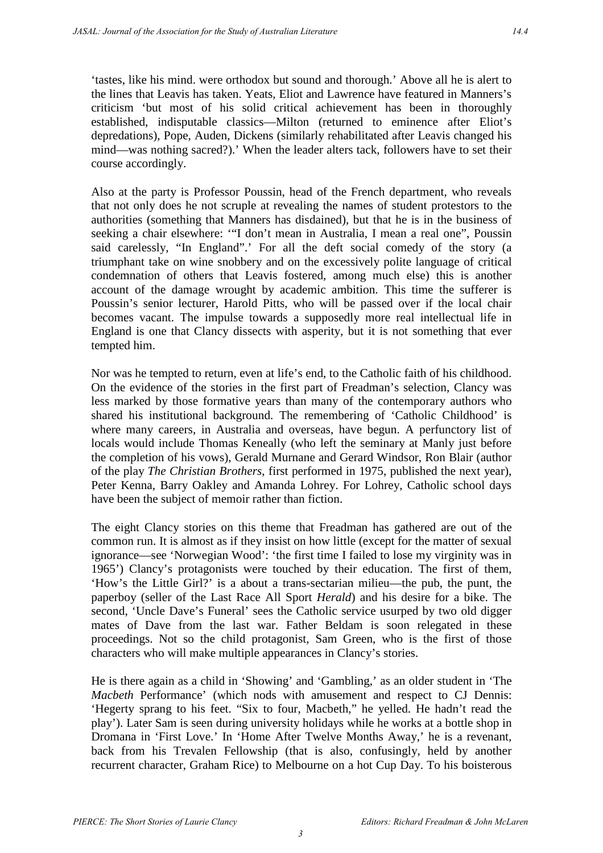'tastes, like his mind. were orthodox but sound and thorough.' Above all he is alert to the lines that Leavis has taken. Yeats, Eliot and Lawrence have featured in Manners's criticism 'but most of his solid critical achievement has been in thoroughly established, indisputable classics—Milton (returned to eminence after Eliot's depredations), Pope, Auden, Dickens (similarly rehabilitated after Leavis changed his mind—was nothing sacred?).' When the leader alters tack, followers have to set their course accordingly.

Also at the party is Professor Poussin, head of the French department, who reveals that not only does he not scruple at revealing the names of student protestors to the authorities (something that Manners has disdained), but that he is in the business of seeking a chair elsewhere: '"I don't mean in Australia, I mean a real one", Poussin said carelessly, "In England".' For all the deft social comedy of the story (a triumphant take on wine snobbery and on the excessively polite language of critical condemnation of others that Leavis fostered, among much else) this is another account of the damage wrought by academic ambition. This time the sufferer is Poussin's senior lecturer, Harold Pitts, who will be passed over if the local chair becomes vacant. The impulse towards a supposedly more real intellectual life in England is one that Clancy dissects with asperity, but it is not something that ever tempted him.

Nor was he tempted to return, even at life's end, to the Catholic faith of his childhood. On the evidence of the stories in the first part of Freadman's selection, Clancy was less marked by those formative years than many of the contemporary authors who shared his institutional background. The remembering of 'Catholic Childhood' is where many careers, in Australia and overseas, have begun. A perfunctory list of locals would include Thomas Keneally (who left the seminary at Manly just before the completion of his vows), Gerald Murnane and Gerard Windsor, Ron Blair (author of the play *The Christian Brothers*, first performed in 1975, published the next year), Peter Kenna, Barry Oakley and Amanda Lohrey. For Lohrey, Catholic school days have been the subject of memoir rather than fiction.

The eight Clancy stories on this theme that Freadman has gathered are out of the common run. It is almost as if they insist on how little (except for the matter of sexual ignorance—see 'Norwegian Wood': 'the first time I failed to lose my virginity was in 1965') Clancy's protagonists were touched by their education. The first of them, 'How's the Little Girl?' is a about a trans-sectarian milieu—the pub, the punt, the paperboy (seller of the Last Race All Sport *Herald*) and his desire for a bike. The second, 'Uncle Dave's Funeral' sees the Catholic service usurped by two old digger mates of Dave from the last war. Father Beldam is soon relegated in these proceedings. Not so the child protagonist, Sam Green, who is the first of those characters who will make multiple appearances in Clancy's stories.

He is there again as a child in 'Showing' and 'Gambling,' as an older student in 'The *Macbeth* Performance' (which nods with amusement and respect to CJ Dennis: 'Hegerty sprang to his feet. "Six to four, Macbeth," he yelled. He hadn't read the play'). Later Sam is seen during university holidays while he works at a bottle shop in Dromana in 'First Love.' In 'Home After Twelve Months Away,' he is a revenant, back from his Trevalen Fellowship (that is also, confusingly, held by another recurrent character, Graham Rice) to Melbourne on a hot Cup Day. To his boisterous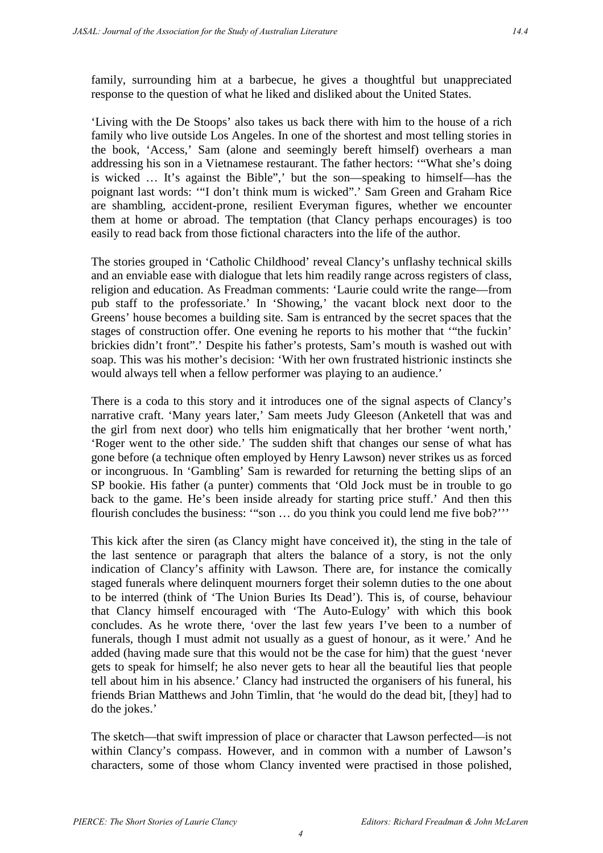family, surrounding him at a barbecue, he gives a thoughtful but unappreciated response to the question of what he liked and disliked about the United States.

'Living with the De Stoops' also takes us back there with him to the house of a rich family who live outside Los Angeles. In one of the shortest and most telling stories in the book, 'Access,' Sam (alone and seemingly bereft himself) overhears a man addressing his son in a Vietnamese restaurant. The father hectors: '"What she's doing is wicked … It's against the Bible",' but the son—speaking to himself—has the poignant last words: '"I don't think mum is wicked".' Sam Green and Graham Rice are shambling, accident-prone, resilient Everyman figures, whether we encounter them at home or abroad. The temptation (that Clancy perhaps encourages) is too easily to read back from those fictional characters into the life of the author.

The stories grouped in 'Catholic Childhood' reveal Clancy's unflashy technical skills and an enviable ease with dialogue that lets him readily range across registers of class, religion and education. As Freadman comments: 'Laurie could write the range—from pub staff to the professoriate.' In 'Showing,' the vacant block next door to the Greens' house becomes a building site. Sam is entranced by the secret spaces that the stages of construction offer. One evening he reports to his mother that '"the fuckin' brickies didn't front".' Despite his father's protests, Sam's mouth is washed out with soap. This was his mother's decision: 'With her own frustrated histrionic instincts she would always tell when a fellow performer was playing to an audience.'

There is a coda to this story and it introduces one of the signal aspects of Clancy's narrative craft. 'Many years later,' Sam meets Judy Gleeson (Anketell that was and the girl from next door) who tells him enigmatically that her brother 'went north,' 'Roger went to the other side.' The sudden shift that changes our sense of what has gone before (a technique often employed by Henry Lawson) never strikes us as forced or incongruous. In 'Gambling' Sam is rewarded for returning the betting slips of an SP bookie. His father (a punter) comments that 'Old Jock must be in trouble to go back to the game. He's been inside already for starting price stuff.' And then this flourish concludes the business: '"son … do you think you could lend me five bob?'''

This kick after the siren (as Clancy might have conceived it), the sting in the tale of the last sentence or paragraph that alters the balance of a story, is not the only indication of Clancy's affinity with Lawson. There are, for instance the comically staged funerals where delinquent mourners forget their solemn duties to the one about to be interred (think of 'The Union Buries Its Dead'). This is, of course, behaviour that Clancy himself encouraged with 'The Auto-Eulogy' with which this book concludes. As he wrote there, 'over the last few years I've been to a number of funerals, though I must admit not usually as a guest of honour, as it were.' And he added (having made sure that this would not be the case for him) that the guest 'never gets to speak for himself; he also never gets to hear all the beautiful lies that people tell about him in his absence.' Clancy had instructed the organisers of his funeral, his friends Brian Matthews and John Timlin, that 'he would do the dead bit, [they] had to do the jokes.'

The sketch—that swift impression of place or character that Lawson perfected—is not within Clancy's compass. However, and in common with a number of Lawson's characters, some of those whom Clancy invented were practised in those polished,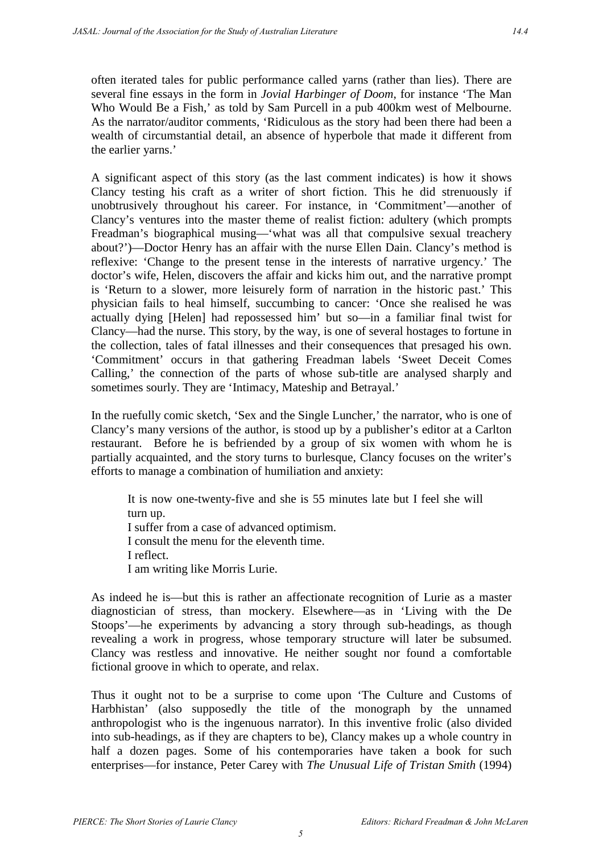often iterated tales for public performance called yarns (rather than lies). There are several fine essays in the form in *Jovial Harbinger of Doom*, for instance 'The Man Who Would Be a Fish,' as told by Sam Purcell in a pub 400km west of Melbourne. As the narrator/auditor comments, 'Ridiculous as the story had been there had been a wealth of circumstantial detail, an absence of hyperbole that made it different from the earlier yarns.'

A significant aspect of this story (as the last comment indicates) is how it shows Clancy testing his craft as a writer of short fiction. This he did strenuously if unobtrusively throughout his career. For instance, in 'Commitment'—another of Clancy's ventures into the master theme of realist fiction: adultery (which prompts Freadman's biographical musing—'what was all that compulsive sexual treachery about?')—Doctor Henry has an affair with the nurse Ellen Dain. Clancy's method is reflexive: 'Change to the present tense in the interests of narrative urgency.' The doctor's wife, Helen, discovers the affair and kicks him out, and the narrative prompt is 'Return to a slower, more leisurely form of narration in the historic past.' This physician fails to heal himself, succumbing to cancer: 'Once she realised he was actually dying [Helen] had repossessed him' but so—in a familiar final twist for Clancy—had the nurse. This story, by the way, is one of several hostages to fortune in the collection, tales of fatal illnesses and their consequences that presaged his own. 'Commitment' occurs in that gathering Freadman labels 'Sweet Deceit Comes Calling,' the connection of the parts of whose sub-title are analysed sharply and sometimes sourly. They are 'Intimacy, Mateship and Betrayal.'

In the ruefully comic sketch, 'Sex and the Single Luncher,' the narrator, who is one of Clancy's many versions of the author, is stood up by a publisher's editor at a Carlton restaurant. Before he is befriended by a group of six women with whom he is partially acquainted, and the story turns to burlesque, Clancy focuses on the writer's efforts to manage a combination of humiliation and anxiety:

It is now one-twenty-five and she is 55 minutes late but I feel she will turn up. I suffer from a case of advanced optimism. I consult the menu for the eleventh time. I reflect. I am writing like Morris Lurie.

As indeed he is—but this is rather an affectionate recognition of Lurie as a master diagnostician of stress, than mockery. Elsewhere—as in 'Living with the De Stoops'—he experiments by advancing a story through sub-headings, as though revealing a work in progress, whose temporary structure will later be subsumed. Clancy was restless and innovative. He neither sought nor found a comfortable fictional groove in which to operate, and relax.

Thus it ought not to be a surprise to come upon 'The Culture and Customs of Harbhistan' (also supposedly the title of the monograph by the unnamed anthropologist who is the ingenuous narrator). In this inventive frolic (also divided into sub-headings, as if they are chapters to be), Clancy makes up a whole country in half a dozen pages. Some of his contemporaries have taken a book for such enterprises—for instance, Peter Carey with *The Unusual Life of Tristan Smith* (1994)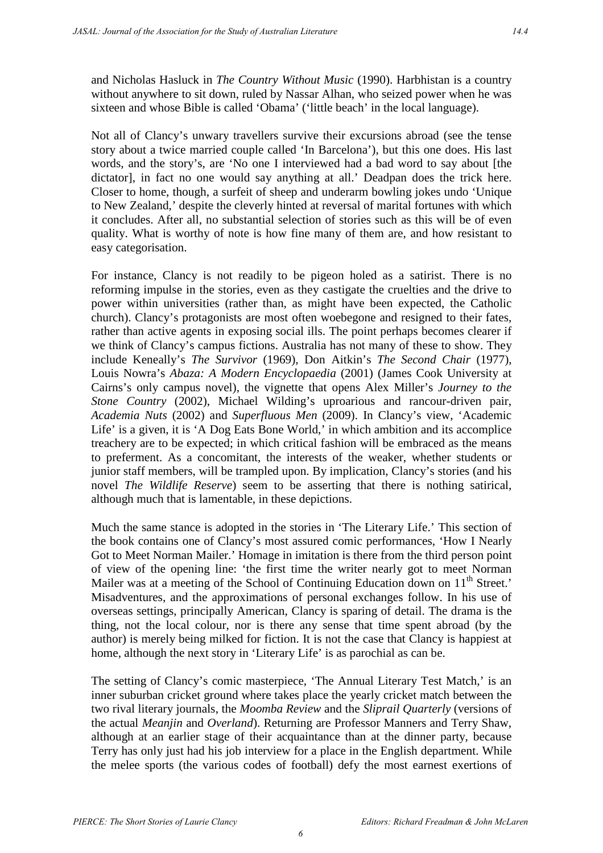and Nicholas Hasluck in *The Country Without Music* (1990). Harbhistan is a country without anywhere to sit down, ruled by Nassar Alhan, who seized power when he was sixteen and whose Bible is called 'Obama' ('little beach' in the local language).

Not all of Clancy's unwary travellers survive their excursions abroad (see the tense story about a twice married couple called 'In Barcelona'), but this one does. His last words, and the story's, are 'No one I interviewed had a bad word to say about [the dictator], in fact no one would say anything at all.' Deadpan does the trick here. Closer to home, though, a surfeit of sheep and underarm bowling jokes undo 'Unique to New Zealand,' despite the cleverly hinted at reversal of marital fortunes with which it concludes. After all, no substantial selection of stories such as this will be of even quality. What is worthy of note is how fine many of them are, and how resistant to easy categorisation.

For instance, Clancy is not readily to be pigeon holed as a satirist. There is no reforming impulse in the stories, even as they castigate the cruelties and the drive to power within universities (rather than, as might have been expected, the Catholic church). Clancy's protagonists are most often woebegone and resigned to their fates, rather than active agents in exposing social ills. The point perhaps becomes clearer if we think of Clancy's campus fictions. Australia has not many of these to show. They include Keneally's *The Survivor* (1969), Don Aitkin's *The Second Chair* (1977), Louis Nowra's *Abaza: A Modern Encyclopaedia* (2001) (James Cook University at Cairns's only campus novel), the vignette that opens Alex Miller's *Journey to the Stone Country* (2002), Michael Wilding's uproarious and rancour-driven pair, *Academia Nuts* (2002) and *Superfluous Men* (2009). In Clancy's view, 'Academic Life' is a given, it is 'A Dog Eats Bone World,' in which ambition and its accomplice treachery are to be expected; in which critical fashion will be embraced as the means to preferment. As a concomitant, the interests of the weaker, whether students or junior staff members, will be trampled upon. By implication, Clancy's stories (and his novel *The Wildlife Reserve*) seem to be asserting that there is nothing satirical, although much that is lamentable, in these depictions.

Much the same stance is adopted in the stories in 'The Literary Life.' This section of the book contains one of Clancy's most assured comic performances, 'How I Nearly Got to Meet Norman Mailer.' Homage in imitation is there from the third person point of view of the opening line: 'the first time the writer nearly got to meet Norman Mailer was at a meeting of the School of Continuing Education down on 11<sup>th</sup> Street.' Misadventures, and the approximations of personal exchanges follow. In his use of overseas settings, principally American, Clancy is sparing of detail. The drama is the thing, not the local colour, nor is there any sense that time spent abroad (by the author) is merely being milked for fiction. It is not the case that Clancy is happiest at home, although the next story in 'Literary Life' is as parochial as can be.

The setting of Clancy's comic masterpiece, 'The Annual Literary Test Match,' is an inner suburban cricket ground where takes place the yearly cricket match between the two rival literary journals, the *Moomba Review* and the *Sliprail Quarterly* (versions of the actual *Meanjin* and *Overland*). Returning are Professor Manners and Terry Shaw, although at an earlier stage of their acquaintance than at the dinner party, because Terry has only just had his job interview for a place in the English department. While the melee sports (the various codes of football) defy the most earnest exertions of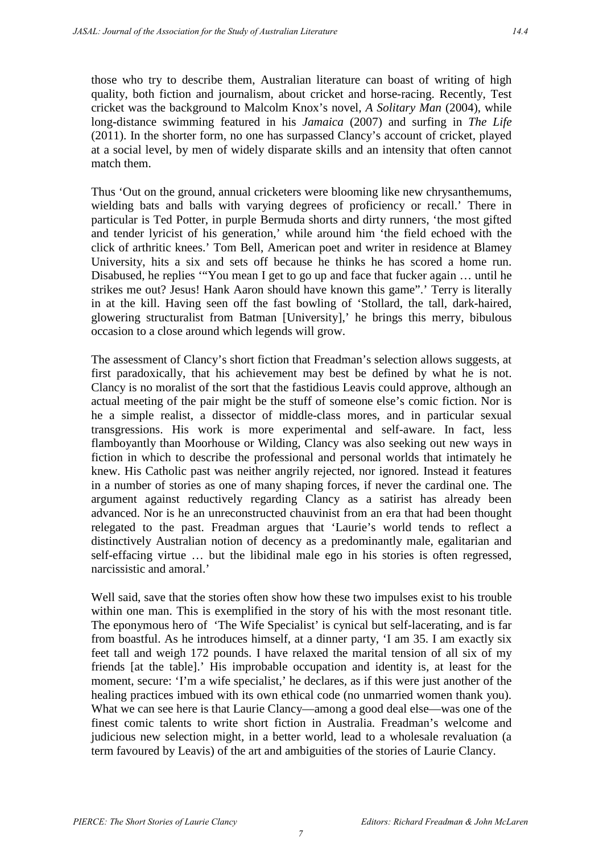those who try to describe them, Australian literature can boast of writing of high quality, both fiction and journalism, about cricket and horse-racing. Recently, Test cricket was the background to Malcolm Knox's novel, *A Solitary Man* (2004), while long-distance swimming featured in his *Jamaica* (2007) and surfing in *The Life* (2011). In the shorter form, no one has surpassed Clancy's account of cricket, played at a social level, by men of widely disparate skills and an intensity that often cannot match them.

Thus 'Out on the ground, annual cricketers were blooming like new chrysanthemums, wielding bats and balls with varying degrees of proficiency or recall.' There in particular is Ted Potter, in purple Bermuda shorts and dirty runners, 'the most gifted and tender lyricist of his generation,' while around him 'the field echoed with the click of arthritic knees.' Tom Bell, American poet and writer in residence at Blamey University, hits a six and sets off because he thinks he has scored a home run. Disabused, he replies '"You mean I get to go up and face that fucker again … until he strikes me out? Jesus! Hank Aaron should have known this game".' Terry is literally in at the kill. Having seen off the fast bowling of 'Stollard, the tall, dark-haired, glowering structuralist from Batman [University],' he brings this merry, bibulous occasion to a close around which legends will grow.

The assessment of Clancy's short fiction that Freadman's selection allows suggests, at first paradoxically, that his achievement may best be defined by what he is not. Clancy is no moralist of the sort that the fastidious Leavis could approve, although an actual meeting of the pair might be the stuff of someone else's comic fiction. Nor is he a simple realist, a dissector of middle-class mores, and in particular sexual transgressions. His work is more experimental and self-aware. In fact, less flamboyantly than Moorhouse or Wilding, Clancy was also seeking out new ways in fiction in which to describe the professional and personal worlds that intimately he knew. His Catholic past was neither angrily rejected, nor ignored. Instead it features in a number of stories as one of many shaping forces, if never the cardinal one. The argument against reductively regarding Clancy as a satirist has already been advanced. Nor is he an unreconstructed chauvinist from an era that had been thought relegated to the past. Freadman argues that 'Laurie's world tends to reflect a distinctively Australian notion of decency as a predominantly male, egalitarian and self-effacing virtue … but the libidinal male ego in his stories is often regressed, narcissistic and amoral.'

Well said, save that the stories often show how these two impulses exist to his trouble within one man. This is exemplified in the story of his with the most resonant title. The eponymous hero of 'The Wife Specialist' is cynical but self-lacerating, and is far from boastful. As he introduces himself, at a dinner party, 'I am 35. I am exactly six feet tall and weigh 172 pounds. I have relaxed the marital tension of all six of my friends [at the table].' His improbable occupation and identity is, at least for the moment, secure: 'I'm a wife specialist,' he declares, as if this were just another of the healing practices imbued with its own ethical code (no unmarried women thank you). What we can see here is that Laurie Clancy—among a good deal else—was one of the finest comic talents to write short fiction in Australia. Freadman's welcome and judicious new selection might, in a better world, lead to a wholesale revaluation (a term favoured by Leavis) of the art and ambiguities of the stories of Laurie Clancy.